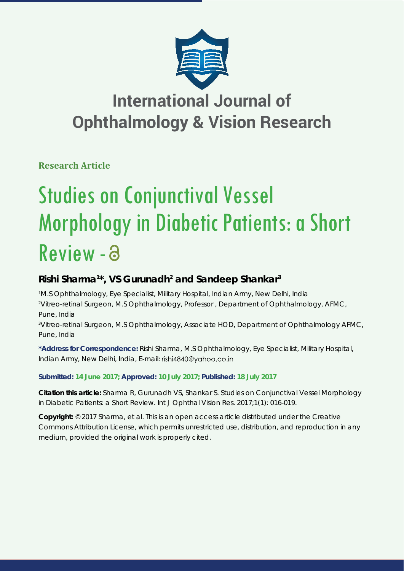

## **International Journal of Ophthalmology & Vision Research**

**Research Article**

# Studies on Conjunctival Vessel Morphology in Diabetic Patients: a Short Review - a

## **Rishi Sharma1 \*, VS Gurunadh2 and Sandeep Shankar3**

*1 M.S Ophthalmology, Eye Specialist, Military Hospital, Indian Army, New Delhi, India 2 Vitreo-retinal Surgeon, M.S Ophthalmology, Professor , Department of Ophthalmology, AFMC, Pune, India 3 Vitreo-retinal Surgeon, M.S Ophthalmology, Associate HOD, Department of Ophthalmology AFMC, Pune, India*

**\*Address for Correspondence:** Rishi Sharma, M.S Ophthalmology, Eye Specialist, Military Hospital, Indian Army, New Delhi, India, E-mail: rishi4840@yahoo.co.in

### **Submitted: 14 June 2017; Approved: 10 July 2017; Published: 18 July 2017**

**Citation this article:** Sharma R, Gurunadh VS, Shankar S. Studies on Conjunctival Vessel Morphology in Diabetic Patients: a Short Review. Int J Ophthal Vision Res. 2017;1(1): 016-019.

**Copyright:** © 2017 Sharma, et al. This is an open access article distributed under the Creative Commons Attribution License, which permits unrestricted use, distribution, and reproduction in any medium, provided the original work is properly cited.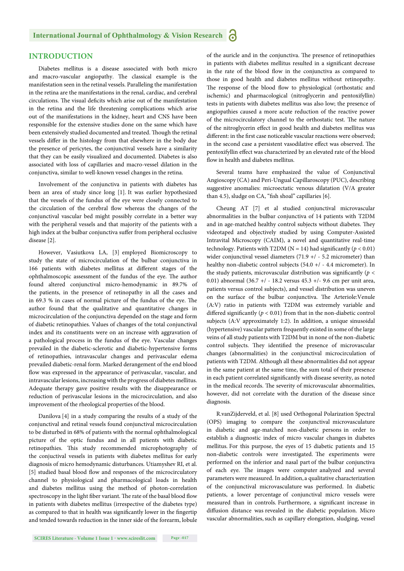#### **INTRODUCTION**

Diabetes mellitus is a disease associated with both micro and macro-vascular angiopathy. The classical example is the manifestation seen in the retinal vessels. Paralleling the manifestation in the retina are the manifestations in the renal, cardiac, and cerebral circulations. The visual deficits which arise out of the manifestation in the retina and the life threatening complications which arise out of the manifestations in the kidney, heart and CNS have been responsible for the extensive studies done on the same which have been extensively studied documented and treated. Though the retinal vessels differ in the histology from that elsewhere in the body due the presence of pericytes, the conjunctival vessels have a similarity that they can be easily visualized and documented. Diabetes is also associated with loss of capillaries and macro-vessel dilation in the conjunctiva, similar to well-known vessel changes in the retina.

Involvement of the conjunctiva in patients with diabetes has been an area of study since long [1]. It was earlier hypothesized that the vessels of the fundus of the eye were closely connected to the circulation of the cerebral flow whereas the changes of the conjunctival vascular bed might possibly correlate in a better way with the peripheral vessels and that majority of the patients with a high index at the bulbar conjunctiva suffer from peripheral occlusive disease [2].

However, Vasiutkova LA, [3] employed Biomicroscopy to study the state of microcirculation of the bulbar conjunctiva in 166 patients with diabetes mellitus at different stages of the ophthalmoscopic assessment of the fundus of the eye. The author found altered conjunctival micro-hemodynamic in 89.7% of the patients, in the presence of retinopathy in all the cases and in 69.3 % in cases of normal picture of the fundus of the eye. The author found that the qualitative and quantitative changes in microcirculation of the conjunctiva depended on the stage and form of diabetic retinopathies. Values of changes of the total conjunctival index and its constituents were on an increase with aggravation of a pathological process in the fundus of the eye. Vascular changes prevailed in the diabetic-sclerotic and diabetic-hypertensive forms of retinopathies, intravascular changes and perivascular edema prevailed diabetic-renal form. Marked derangement of the end blood flow was expressed in the appearance of perivascular, vascular, and intravascular lesions, increasing with the progress of diabetes mellitus. Adequate therapy gave positive results with the disappearance or reduction of perivascular lesions in the microcirculation, and also improvement of the rheological properties of the blood.

Danilova [4] in a study comparing the results of a study of the conjunctival and retinal vessels found conjunctival microcirculation to be disturbed in 68% of patients with the normal ophthalmological picture of the optic fundus and in all patients with diabetic retinopathies. This study recommended microphotography of the conjuctival vessels in patients with diabetes mellitus for early diagnosis of micro hemodynamic disturbances. Utiamyshev RI, et al. [5] studied basal blood flow and responses of the microcirculatory channel to physiological and pharmacological loads in health and diabetes mellitus using the method of photon-correlation spectroscopy in the light fiber variant. The rate of the basal blood flow in patients with diabetes mellitus (irrespective of the diabetes type) as compared to that in health was significantly lower in the fingertip and tended towards reduction in the inner side of the forearm, lobule of the auricle and in the conjunctiva. The presence of retinopathies in patients with diabetes mellitus resulted in a significant decrease in the rate of the blood flow in the conjunctiva as compared to those in good health and diabetes mellitus without retinopathy. The response of the blood flow to physiological (orthostatic and ischemic) and pharmacological (nitroglycerin and pentoxifyllin) tests in patients with diabetes mellitus was also low; the presence of angiopathies caused a more acute reduction of the reactive power of the microcirculatory channel to the orthostatic test. The nature of the nitroglycerin effect in good health and diabetes mellitus was different: in the first case noticeable vascular reactions were observed; in the second case a persistent vasodilative effect was observed. The pentoxifyllin effect was characterized by an elevated rate of the blood flow in health and diabetes mellitus.

Several teams have emphasized the value of Conjunctival Angioscopy (CA) and Peri-Ungual Capillaroscopy (PUC), describing suggestive anomalies: microectatic venous dilatation (V/A greater than 4.5), sludge on CA, "fish shoal" capillaries [6].

Cheung AT [7] et al studied conjunctival microvascular abnormalities in the bulbar conjunctiva of 14 patients with T2DM and in age-matched healthy control subjects without diabetes. They videotaped and objectively studied by using Computer-Assisted Intravital Microscopy (CAIM), a novel and quantitative real-time technology. Patients with T2DM ( $N = 14$ ) had significantly ( $p < 0.01$ ) wider conjunctival vessel diameters (71.9 +/ - 5.2 micrometer) than healthy non-diabetic control subjects (54.0 +/ - 4.4 micrometer). In the study patients, microvascular distribution was significantly ( $p <$ 0.01) abnormal (36.7 +/ - 18.2 versus 45.3 +/- 9.6 cm per unit area, patients versus control subjects), and vessel distribution was uneven on the surface of the bulbar conjunctiva. The Arteriole: Venule (A:V) ratio in patients with T2DM was extremely variable and differed significantly ( $p < 0.01$ ) from that in the non-diabetic control subjects (A:V approximately 1:2). In addition, a unique sinusoidal (hypertensive) vascular pattern frequently existed in some of the large veins of all study patients with T2DM but in none of the non-diabetic control subjects. They identified the presence of microvascular changes (abnormalities) in the conjunctival microcirculation of patients with T2DM. Although all these abnormalities did not appear in the same patient at the same time, the sum total of their presence in each patient correlated significantly with disease severity, as noted in the medical records. The severity of microvascular abnormalities, however, did not correlate with the duration of the disease since diagnosis.

R.vanZijderveld, et al. [8] used Orthogonal Polarization Spectral (OPS) imaging to compare the conjunctival microvasculature in diabetic and age-matched non-diabetic persons in order to establish a diagnostic index of micro vascular changes in diabetes mellitus. For this purpose, the eyes of 15 diabetic patients and 15 non-diabetic controls were investigated. The experiments were performed on the inferior and nasal part of the bulbar conjunctiva of each eye. The images were computer analyzed and several parameters were measured. In addition, a qualitative characterization of the conjunctival microvasculature was performed. In diabetic patients, a lower percentage of conjunctival micro vessels were measured than in controls. Furthermore, a significant increase in diffusion distance was revealed in the diabetic population. Micro vascular abnormalities, such as capillary elongation, sludging, vessel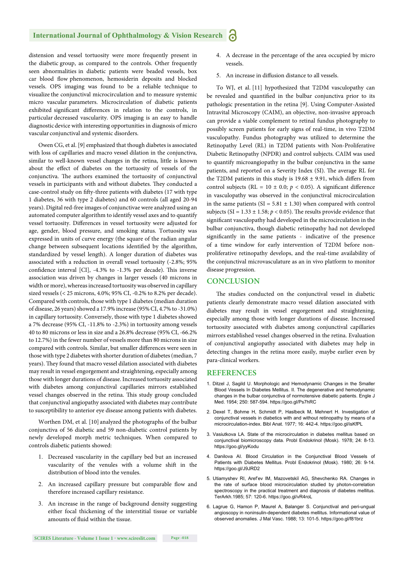#### **International Journal of Ophthalmology & Vision Research** Ы

distension and vessel tortuosity were more frequently present in the diabetic group, as compared to the controls. Other frequently seen abnormalities in diabetic patients were beaded vessels, box car blood flow phenomenon, hemosiderin deposits and blocked vessels. OPS imaging was found to be a reliable technique to visualize the conjunctival microcirculation and to measure systemic micro vascular parameters. Microcirculation of diabetic patients exhibited significant differences in relation to the controls, in particular decreased vascularity. OPS imaging is an easy to handle diagnosticdevice with interesting opportunities in diagnosis of micro vascular conjunctival and systemic disorders.

Owen CG, et al. [9] emphasized that though diabetes is associated with loss of capillaries and macro vessel dilation in the conjunctiva, similar to well-known vessel changes in the retina, little is known about the effect of diabetes on the tortuosity of vessels of the conjunctiva. The authors examined the tortuosity of conjunctival vessels in participants with and without diabetes. They conducted a case-control study on fifty-three patients with diabetes (17 with type 1 diabetes, 36 with type 2 diabetes) and 60 controls (all aged 20-94 years). Digital red-free images of conjunctivae were analyzed using an automated computer algorithm to identify vessel axes and to quantify vessel tortuosity. Differences in vessel tortuosity were adjusted for age, gender, blood pressure, and smoking status. Tortuosity was expressed in units of curve energy (the square of the radian angular change between subsequent locations identified by the algorithm, standardized by vessel length). A longer duration of diabetes was associated with a reduction in overall vessel tortuosity (-2.8%; 95% confidence interval  $[CI]$ , -4.3% to -1.3% per decade). This inverse association was driven by changes in larger vessels (40 microns in width or more), whereas increased tortuosity was observed in capillary sized vessels (< 25 microns, 4.0%; 95% CI, -0.2% to 8.2% per decade). Compared with controls, those with type 1 diabetes (median duration of disease, 26 years) showed a 17.9% increase (95% CI, 4.7% to -31.0%) in capillary tortuosity. Conversely, those with type 1 diabetes showed a 7% decrease (95% CI, -11.8% to -2.3%) in tortuosity among vessels 40 to 80 microns or less in size and a 26.8% decrease (95% CI, -66.2% to 12.7%) in the fewer number of vessels more than 80 microns in size compared with controls. Similar, but smaller differences were seen in those with type 2 diabetes with shorter duration of diabetes (median, 7 years). They found that macro vessel dilation associated with diabetes may result in vessel engorgement and straightening, especially among those with longer durations of disease. Increased tortuosity associated with diabetes among conjunctival capillaries mirrors established vessel changes observed in the retina. This study group concluded that conjunctival angiopathy associated with diabetes may contribute to susceptibility to anterior eye disease among patients with diabetes.

Worthen DM, et al. [10] analyzed the photographs of the bulbar conjunctiva of 56 diabetic and 59 non-diabetic control patients by newly developed morph metric techniques. When compared to controls diabetic patients showed:

- 1. Decreased vascularity in the capillary bed but an increased vascularity of the venules with a volume shift in the distribution of blood into the venules.
- 2. An increased capillary pressure but comparable flow and therefore increased capillary resistance.
- 3. An increase in the range of background density suggesting either focal thickening of the interstitial tissue or variable amounts of fluid within the tissue.
- 4. A decrease in the percentage of the area occupied by micro vessels.
- 5. An increase in diffusion distance to all vessels.

To WJ, et al. [11] hypothesized that T2DM vasculopathy can be revealed and quantified in the bulbar conjunctiva prior to its pathologic presentation in the retina [9]. Using Computer-Assisted Intravital Microscopy (CAIM), an objective, non-invasive approach can provide a viable complement to retinal fundus photography to possibly screen patients for early signs of real-time, in vivo T2DM vasculopathy. Fundus photography was utilized to determine the Retinopathy Level (RL) in T2DM patients with Non-Proliferative Diabetic Retinopathy (NPDR) and control subjects. CAIM was used to quantify microangiopathy in the bulbar conjunctiva in the same patients, and reported on a Severity Index (SI). The average RL for the T2DM patients in this study is  $19.68 \pm 9.91$ , which differs from control subjects (RL =  $10 \pm 0.0$ ;  $p < 0.05$ ). A significant difference in vasculopathy was observed in the conjunctival microcirculation in the same patients ( $SI = 5.81 \pm 1.30$ ) when compared with control subjects (SI =  $1.33 \pm 1.58$ ;  $p < 0.05$ ). The results provide evidence that significant vasculopathy had developed in the microcirculation in the bulbar conjunctiva, though diabetic retinopathy had not developed significantly in the same patients - indicative of the presence of a time window for early intervention of T2DM before nonproliferative retinopathy develops, and the real-time availability of the conjunctival microvasculature as an in vivo platform to monitor disease progression.

#### **CONCLUSION**

The studies conducted on the conjunctival vessel in diabetic patients clearly demonstrate macro vessel dilation associated with diabetes may result in vessel engorgement and straightening, especially among those with longer durations of disease. Increased tortuosity associated with diabetes among conjunctival capillaries mirrors established vessel changes observed in the retina. Evaluation of conjunctival angiopathy associated with diabetes may help in detecting changes in the retina more easily, maybe earlier even by para-clinical workers.

#### **REFERENCES**

- 1. Ditzel J, Sagild U. Morphologic and Hemodynamic Changes in the Smaller Blood Vessels In Diabetes Mellitus. II. The degenerative and hemodynamic changes in the bulbar conjunctiva of normotensive diabetic patients. Engle J Med. 1954; 250: 587-594. https://goo.gl/Ps7hRC
- 2. Dexel T, Bohme H, Schmidt P, Haslbeck M, Mehnert H. Investigation of conjunctival vessels in diabetics with and without retinopathy by means of a microcirculation-index. Bibl Anat. 1977; 16: 442-4. https://goo.gl/isKfPL
- 3. Vasiutkova LA. State of the microcirculation in diabetes mellitus based on conjunctival biomicroscopy data. Probl Endokrinol (Mosk). 1978; 24: 8-13. https://goo.gl/yyKodu
- 4. Danilova AI. Blood Circulation in the Conjunctival Blood Vessels of Patients with Diabetes Mellitus. Probl Endokrinol (Mosk). 1980; 26: 9-14. https://goo.gl/J9JRD2
- 5. Utiamyshev RI, Aref'ev IM, Mazovetskiĭ AG, Shevchenko RA. Changes in the rate of surface blood microcirculation studied by photon-correlation spectroscopy in the practical treatment and diagnosis of diabetes mellitus. TerArkh.1985; 57: 120-6. https://goo.gl/vR4roL
- 6. Lagrue G, Hamon P, Maurel A, Balanger S. Conjunctival and peri-ungual angioscopy in noninsulin-dependent diabetes mellitus. Informational value of observed anomalies. J Mal Vasc. 1988; 13: 101-5. https://goo.gl/f81brz